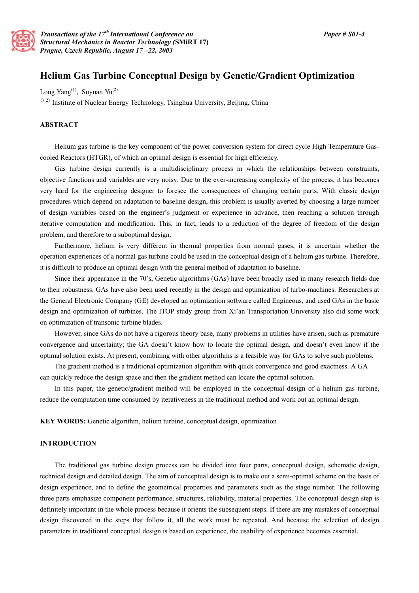

# **Helium Gas Turbine Conceptual Design by Genetic/Gradient Optimization**

Long Yang<sup>(1)</sup>, Suyuan Yu<sup>(2)</sup>

<sup>1) 2)</sup> Institute of Nuclear Energy Technology, Tsinghua University, Beijing, China

#### **ABSTRACT**

Helium gas turbine is the key component of the power conversion system for direct cycle High Temperature Gascooled Reactors (HTGR), of which an optimal design is essential for high efficiency.

Gas turbine design currently is a multidisciplinary process in which the relationships between constraints, objective functions and variables are very noisy. Due to the ever-increasing complexity of the process, it has becomes very hard for the engineering designer to foresee the consequences of changing certain parts. With classic design procedures which depend on adaptation to baseline design, this problem is usually averted by choosing a large number of design variables based on the engineer's judgment or experience in advance, then reaching a solution through iterative computation and modification**.** This, in fact, leads to a reduction of the degree of freedom of the design problem, and therefore to a suboptimal design.

Furthermore, helium is very different in thermal properties from normal gases; it is uncertain whether the operation experiences of a normal gas turbine could be used in the conceptual design of a helium gas turbine. Therefore, it is difficult to produce an optimal design with the general method of adaptation to baseline.

Since their appearance in the 70's, Genetic algorithms (GAs) have been broadly used in many research fields due to their robustness. GAs have also been used recently in the design and optimization of turbo-machines. Researchers at the General Electronic Company (GE) developed an optimization software called Engineous, and used GAs in the basic design and optimization of turbines. The ITOP study group from Xi'an Transportation University also did some work on optimization of transonic turbine blades.

However, since GAs do not have a rigorous theory base, many problems in utilities have arisen, such as premature convergence and uncertainty; the GA doesn't know how to locate the optimal design, and doesn't even know if the optimal solution exists. At present, combining with other algorithms is a feasible way for GAs to solve such problems.

The gradient method is a traditional optimization algorithm with quick convergence and good exactness. A GA can quickly reduce the design space and then the gradient method can locate the optimal solution.

In this paper, the genetic/gradient method will be employed in the conceptual design of a helium gas turbine, reduce the computation time consumed by iterativeness in the traditional method and work out an optimal design.

**KEY WORDS:** Genetic algorithm, helium turbine, conceptual design, optimization

# **INTRODUCTION**

 The traditional gas turbine design process can be divided into four parts, conceptual design, schematic design, technical design and detailed design. The aim of conceptual design is to make out a semi-optimal scheme on the basis of design experience, and to define the geometrical properties and parameters such as the stage number. The following three parts emphasize component performance, structures, reliability, material properties. The conceptual design step is definitely important in the whole process because it orients the subsequent steps. If there are any mistakes of conceptual design discovered in the steps that follow it, all the work must be repeated. And because the selection of design parameters in traditional conceptual design is based on experience, the usability of experience becomes essential.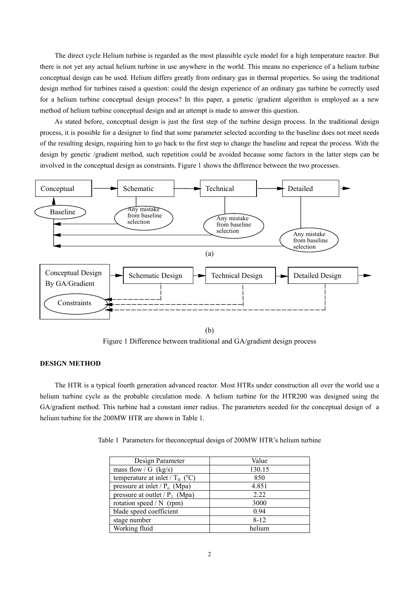The direct cycle Helium turbine is regarded as the most plausible cycle model for a high temperature reactor. But there is not yet any actual helium turbine in use anywhere in the world. This means no experience of a helium turbine conceptual design can be used. Helium differs greatly from ordinary gas in thermal properties. So using the traditional design method for turbines raised a question: could the design experience of an ordinary gas turbine be correctly used for a helium turbine conceptual design process? In this paper, a genetic /gradient algorithm is employed as a new method of helium turbine conceptual design and an attempt is made to answer this question.

As stated before, conceptual design is just the first step of the turbine design process. In the traditional design process, it is possible for a designer to find that some parameter selected according to the baseline does not meet needs of the resulting design, requiring him to go back to the first step to change the baseline and repeat the process. With the design by genetic /gradient method, such repetition could be avoided because some factors in the latter steps can be involved in the conceptual design as constraints. Figure 1 shows the difference between the two processes.



Figure 1 Difference between traditional and GA/gradient design process

#### **DESIGN METHOD**

The HTR is a typical fourth generation advanced reactor. Most HTRs under construction all over the world use a helium turbine cycle as the probable circulation mode. A helium turbine for the HTR200 was designed using the GA/gradient method. This turbine had a constant inner radius. The parameters needed for the conceptual design of a helium turbine for the 200MW HTR are shown in Table 1.

Table 1 Parameters for theconceptual design of 200MW HTR's helium turbine

| Design Parameter                  | Value    |
|-----------------------------------|----------|
| mass flow / G $(kg/s)$            | 130.15   |
| temperature at inlet / $T_0$ (°C) | 850      |
| pressure at inlet / $P_0$ (Mpa)   | 4.851    |
| pressure at outlet / $P_1$ (Mpa)  | 2.22     |
| rotation speed $/N$ (rpm)         | 3000     |
| blade speed coefficient           | 0.94     |
| stage number                      | $8 - 12$ |
| Working fluid                     | helium   |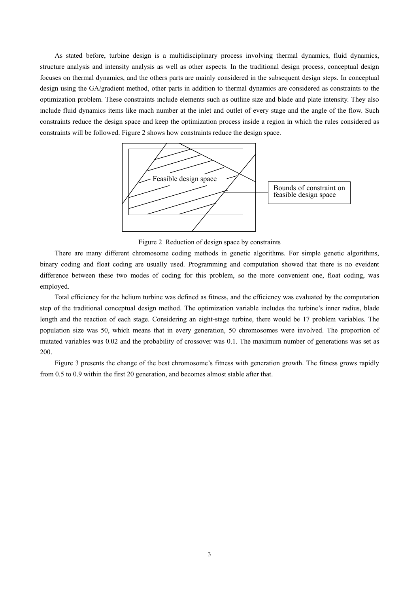As stated before, turbine design is a multidisciplinary process involving thermal dynamics, fluid dynamics, structure analysis and intensity analysis as well as other aspects. In the traditional design process, conceptual design focuses on thermal dynamics, and the others parts are mainly considered in the subsequent design steps. In conceptual design using the GA/gradient method, other parts in addition to thermal dynamics are considered as constraints to the optimization problem. These constraints include elements such as outline size and blade and plate intensity. They also include fluid dynamics items like mach number at the inlet and outlet of every stage and the angle of the flow. Such constraints reduce the design space and keep the optimization process inside a region in which the rules considered as constraints will be followed. Figure 2 shows how constraints reduce the design space.



Figure 2 Reduction of design space by constraints

There are many different chromosome coding methods in genetic algorithms. For simple genetic algorithms, binary coding and float coding are usually used. Programming and computation showed that there is no eveident difference between these two modes of coding for this problem, so the more convenient one, float coding, was employed.

Total efficiency for the helium turbine was defined as fitness, and the efficiency was evaluated by the computation step of the traditional conceptual design method. The optimization variable includes the turbine's inner radius, blade length and the reaction of each stage. Considering an eight-stage turbine, there would be 17 problem variables. The population size was 50, which means that in every generation, 50 chromosomes were involved. The proportion of mutated variables was 0.02 and the probability of crossover was 0.1. The maximum number of generations was set as 200.

Figure 3 presents the change of the best chromosome's fitness with generation growth. The fitness grows rapidly from 0.5 to 0.9 within the first 20 generation, and becomes almost stable after that.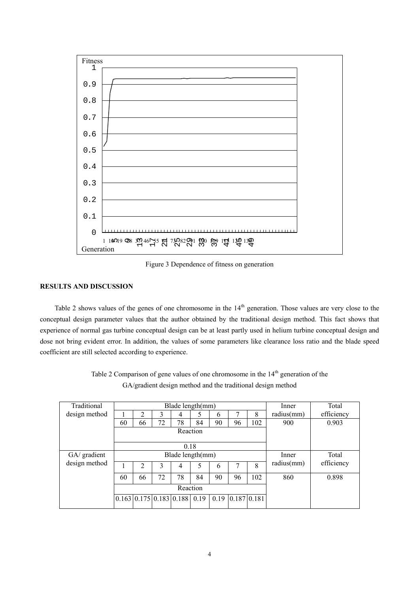

Figure 3 Dependence of fitness on generation

## **RESULTS AND DISCUSSION**

Table 2 shows values of the genes of one chromosome in the 14<sup>th</sup> generation. Those values are very close to the conceptual design parameter values that the author obtained by the traditional design method. This fact shows that experience of normal gas turbine conceptual design can be at least partly used in helium turbine conceptual design and dose not bring evident error. In addition, the values of some parameters like clearance loss ratio and the blade speed coefficient are still selected according to experience.

| Traditional   | Blade length(mm) |                |    |                                               |      |    |                  | Inner | Total      |            |
|---------------|------------------|----------------|----|-----------------------------------------------|------|----|------------------|-------|------------|------------|
| design method |                  | 2              | 3  | 4                                             |      | 6  |                  | 8     | radius(mm) | efficiency |
|               | 60               | 66             | 72 | 78                                            | 84   | 90 | 96               | 102   | 900        | 0.903      |
|               | Reaction         |                |    |                                               |      |    |                  |       |            |            |
|               |                  |                |    |                                               |      |    |                  |       |            |            |
|               |                  |                |    | 0.18                                          |      |    |                  |       |            |            |
| GA/ gradient  | Blade length(mm) |                |    |                                               |      |    |                  | Inner | Total      |            |
| design method |                  | $\overline{c}$ | 3  | 4                                             | 5    | 6  |                  | 8     | radius(mm) | efficiency |
|               | 60               | 66             | 72 | 78                                            | 84   | 90 | 96               | 102   | 860        | 0.898      |
|               | Reaction         |                |    |                                               |      |    |                  |       |            |            |
|               |                  |                |    | $0.163 \mid 0.175 \mid 0.183 \mid 0.188 \mid$ | 0.19 |    | 0.19 0.187 0.181 |       |            |            |
|               |                  |                |    |                                               |      |    |                  |       |            |            |

Table 2 Comparison of gene values of one chromosome in the  $14<sup>th</sup>$  generation of the GA/gradient design method and the traditional design method